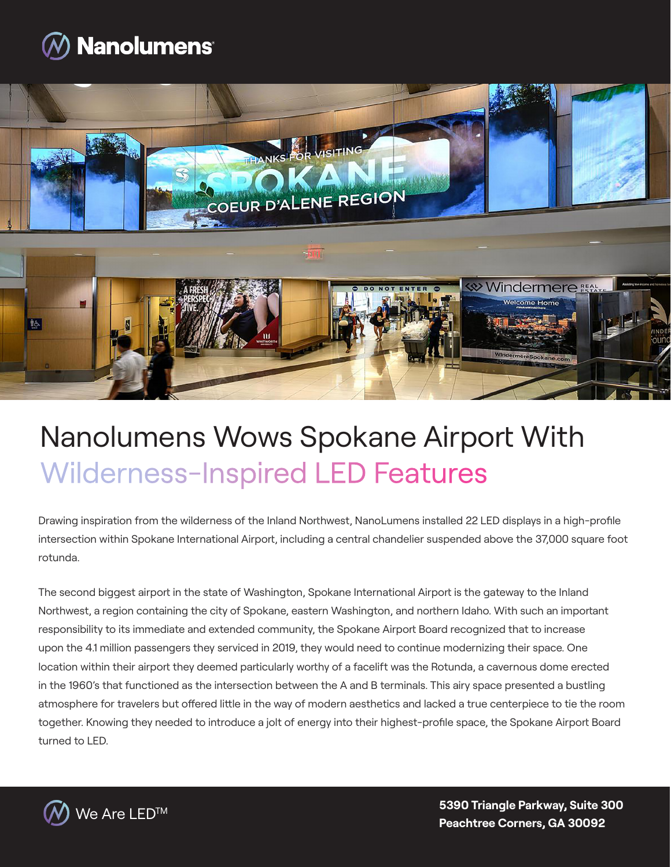



## Nanolumens Wows Spokane Airport With Wilderness-Inspired LED Features

Drawing inspiration from the wilderness of the Inland Northwest, NanoLumens installed 22 LED displays in a high-profile intersection within Spokane International Airport, including a central chandelier suspended above the 37,000 square foot rotunda.

The second biggest airport in the state of Washington, Spokane International Airport is the gateway to the Inland Northwest, a region containing the city of Spokane, eastern Washington, and northern Idaho. With such an important responsibility to its immediate and extended community, the Spokane Airport Board recognized that to increase upon the 4.1 million passengers they serviced in 2019, they would need to continue modernizing their space. One location within their airport they deemed particularly worthy of a facelift was the Rotunda, a cavernous dome erected in the 1960's that functioned as the intersection between the A and B terminals. This airy space presented a bustling atmosphere for travelers but offered little in the way of modern aesthetics and lacked a true centerpiece to tie the room together. Knowing they needed to introduce a jolt of energy into their highest-profile space, the Spokane Airport Board turned to LED.



We Are LEDTM **5390 Triangle Parkway, Suite 300 Peachtree Corners, GA 30092**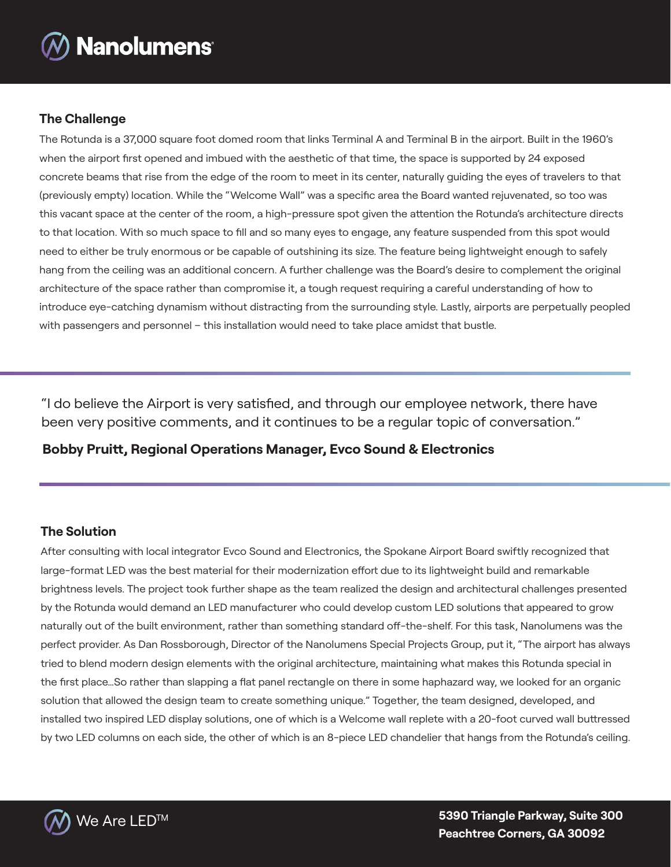

### **The Challenge**

The Rotunda is a 37,000 square foot domed room that links Terminal A and Terminal B in the airport. Built in the 1960's when the airport first opened and imbued with the aesthetic of that time, the space is supported by 24 exposed concrete beams that rise from the edge of the room to meet in its center, naturally guiding the eyes of travelers to that (previously empty) location. While the "Welcome Wall" was a specific area the Board wanted rejuvenated, so too was this vacant space at the center of the room, a high-pressure spot given the attention the Rotunda's architecture directs to that location. With so much space to fill and so many eyes to engage, any feature suspended from this spot would need to either be truly enormous or be capable of outshining its size. The feature being lightweight enough to safely hang from the ceiling was an additional concern. A further challenge was the Board's desire to complement the original architecture of the space rather than compromise it, a tough request requiring a careful understanding of how to introduce eye-catching dynamism without distracting from the surrounding style. Lastly, airports are perpetually peopled with passengers and personnel – this installation would need to take place amidst that bustle.

"I do believe the Airport is very satisfied, and through our employee network, there have been very positive comments, and it continues to be a regular topic of conversation."

**Bobby Pruitt, Regional Operations Manager, Evco Sound & Electronics**

#### **The Solution**

After consulting with local integrator Evco Sound and Electronics, the Spokane Airport Board swiftly recognized that large-format LED was the best material for their modernization effort due to its lightweight build and remarkable brightness levels. The project took further shape as the team realized the design and architectural challenges presented by the Rotunda would demand an LED manufacturer who could develop custom LED solutions that appeared to grow naturally out of the built environment, rather than something standard off-the-shelf. For this task, Nanolumens was the perfect provider. As Dan Rossborough, Director of the Nanolumens Special Projects Group, put it, "The airport has always tried to blend modern design elements with the original architecture, maintaining what makes this Rotunda special in the first place…So rather than slapping a flat panel rectangle on there in some haphazard way, we looked for an organic solution that allowed the design team to create something unique." Together, the team designed, developed, and installed two inspired LED display solutions, one of which is a Welcome wall replete with a 20-foot curved wall buttressed by two LED columns on each side, the other of which is an 8-piece LED chandelier that hangs from the Rotunda's ceiling.

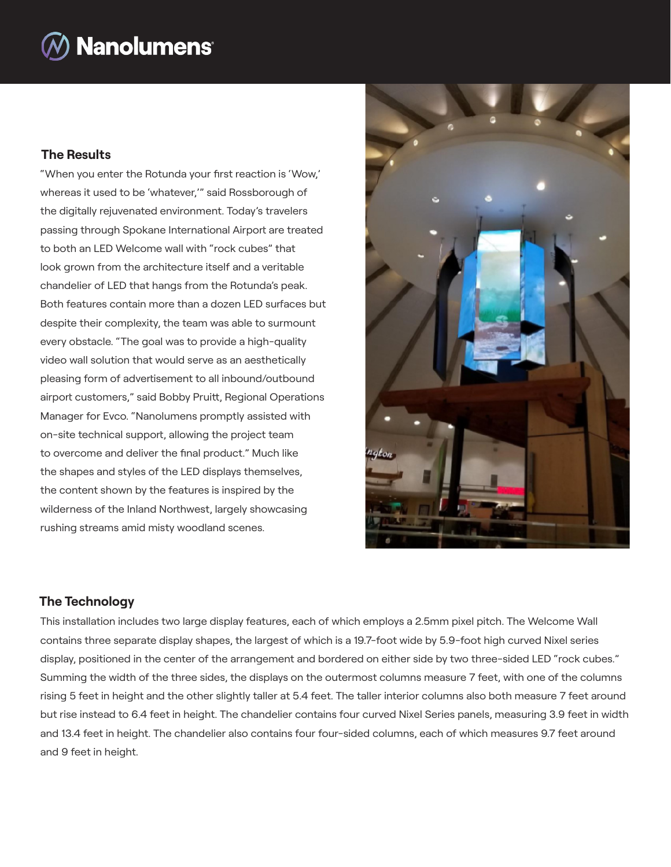# **Nanolumens®**

## **The Results**

"When you enter the Rotunda your first reaction is 'Wow,' whereas it used to be 'whatever,'" said Rossborough of the digitally rejuvenated environment. Today's travelers passing through Spokane International Airport are treated to both an LED Welcome wall with "rock cubes" that look grown from the architecture itself and a veritable chandelier of LED that hangs from the Rotunda's peak. Both features contain more than a dozen LED surfaces but despite their complexity, the team was able to surmount every obstacle. "The goal was to provide a high-quality video wall solution that would serve as an aesthetically pleasing form of advertisement to all inbound/outbound airport customers," said Bobby Pruitt, Regional Operations Manager for Evco. "Nanolumens promptly assisted with on-site technical support, allowing the project team to overcome and deliver the final product." Much like the shapes and styles of the LED displays themselves, the content shown by the features is inspired by the wilderness of the Inland Northwest, largely showcasing rushing streams amid misty woodland scenes.



## **The Technology**

This installation includes two large display features, each of which employs a 2.5mm pixel pitch. The Welcome Wall contains three separate display shapes, the largest of which is a 19.7-foot wide by 5.9-foot high curved Nixel series display, positioned in the center of the arrangement and bordered on either side by two three-sided LED "rock cubes." Summing the width of the three sides, the displays on the outermost columns measure 7 feet, with one of the columns rising 5 feet in height and the other slightly taller at 5.4 feet. The taller interior columns also both measure 7 feet around but rise instead to 6.4 feet in height. The chandelier contains four curved Nixel Series panels, measuring 3.9 feet in width and 13.4 feet in height. The chandelier also contains four four-sided columns, each of which measures 9.7 feet around and 9 feet in height.